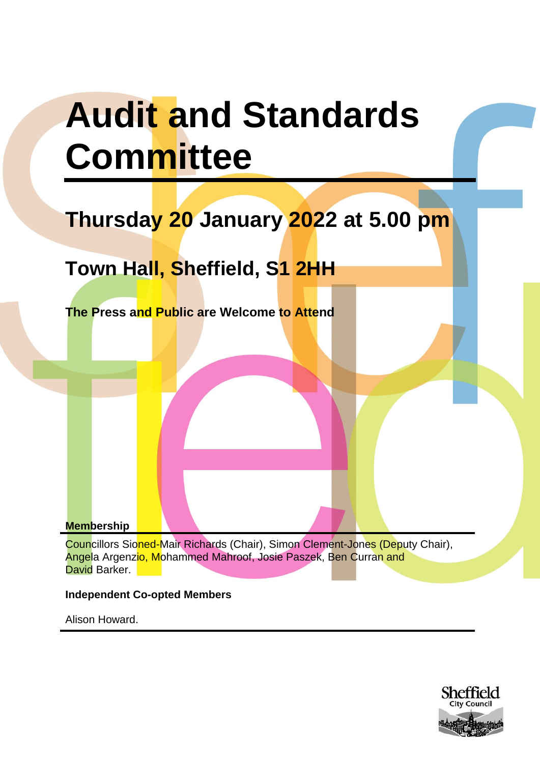# **Audit and Standards Committee**

# **Thursday 20 January 2022 at 5.00 pm**

# **Town Hall, Sheffield, S1 2HH**

**The Press and Public are Welcome to Attend**

**Membership**

Councillors Sioned-Mair Richards (Chair), Simon Clement-Jones (Deputy Chair), Angela Argenzio, Mohammed Mahroof, Josie Paszek, Ben Curran and David Barker.

## **Independent Co-opted Members**

Alison Howard.

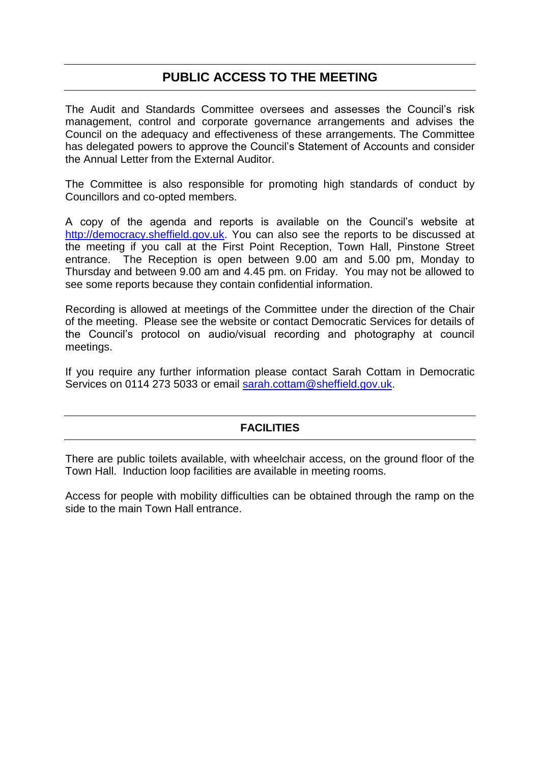# **PUBLIC ACCESS TO THE MEETING**

The Audit and Standards Committee oversees and assesses the Council's risk management, control and corporate governance arrangements and advises the Council on the adequacy and effectiveness of these arrangements. The Committee has delegated powers to approve the Council's Statement of Accounts and consider the Annual Letter from the External Auditor.

The Committee is also responsible for promoting high standards of conduct by Councillors and co-opted members.

A copy of the agenda and reports is available on the Council's website at [http://democracy.sheffield.gov.uk.](http://democracy.sheffield.gov.uk/mgCommitteeDetails.aspx?ID=512) You can also see the reports to be discussed at the meeting if you call at the First Point Reception, Town Hall, Pinstone Street entrance. The Reception is open between 9.00 am and 5.00 pm, Monday to Thursday and between 9.00 am and 4.45 pm. on Friday. You may not be allowed to see some reports because they contain confidential information.

Recording is allowed at meetings of the Committee under the direction of the Chair of the meeting. Please see the website or contact Democratic Services for details of the Council's protocol on audio/visual recording and photography at council meetings.

If you require any further information please contact Sarah Cottam in Democratic Services on 0114 273 5033 or email [sarah.cottam@sheffield.gov.uk.](mailto:sarah.cottam@sheffield.gov.uk)

## **FACILITIES**

There are public toilets available, with wheelchair access, on the ground floor of the Town Hall. Induction loop facilities are available in meeting rooms.

Access for people with mobility difficulties can be obtained through the ramp on the side to the main Town Hall entrance.